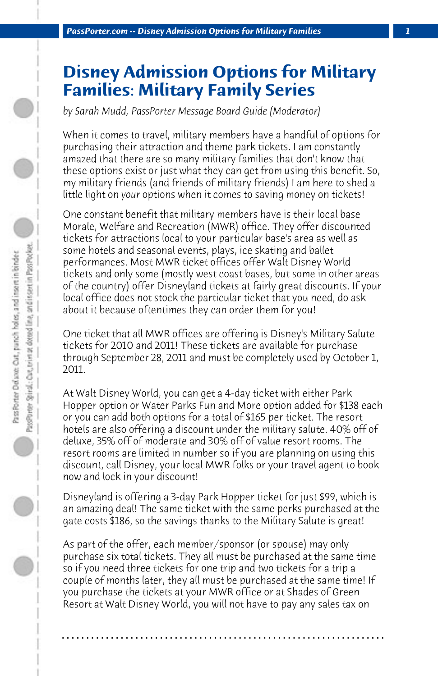## **Disney Admission Options for Military Families: Military Family Series**

*by Sarah Mudd, PassPorter Message Board Guide (Moderator)*

When it comes to travel, military members have a handful of options for purchasing their attraction and theme park tickets. I am constantly amazed that there are so many military families that don't know that these options exist or just what they can get from using this benefit. So, my military friends (and friends of military friends) I am here to shed a little light on *your* options when it comes to saving money on tickets!

One constant benefit that military members have is their local base Morale, Welfare and Recreation (MWR) office. They offer discounted tickets for attractions local to your particular base's area as well as some hotels and seasonal events, plays, ice skating and ballet performances. Most MWR ticket offices offer Walt Disney World tickets and only some (mostly west coast bases, but some in other areas of the country) offer Disneyland tickets at fairly great discounts. If your local office does not stock the particular ticket that you need, do ask about it because oftentimes they can order them for you!

One ticket that all MWR offices are offering is Disney's Military Salute tickets for 2010 and 2011! These tickets are available for purchase through September 28, 2011 and must be completely used by October 1, 2011.

At Walt Disney World, you can get a 4-day ticket with either Park Hopper option or Water Parks Fun and More option added for \$138 each or you can add both options for a total of \$165 per ticket. The resort hotels are also offering a discount under the military salute. 40% off of deluxe, 35% off of moderate and 30% off of value resort rooms. The resort rooms are limited in number so if you are planning on using this discount, call Disney, your local MWR folks or your travel agent to book now and lock in your discount!

Disneyland is offering a 3-day Park Hopper ticket for just \$99, which is an amazing deal! The same ticket with the same perks purchased at the gate costs \$186, so the savings thanks to the Military Salute is great!

As part of the offer, each member/sponsor (or spouse) may only purchase six total tickets. They all must be purchased at the same time so if you need three tickets for one trip and two tickets for a trip a couple of months later, they all must be purchased at the same time! If you purchase the tickets at your MWR office or at Shades of Green Resort at Walt Disney World, you will not have to pay any sales tax on

**. . . . . . . . . . . . . . . . . . . . . . . . . . . . . . . . . . . . . . . . . . . . . . . . . . . . . . . . . . . . . . . . . .**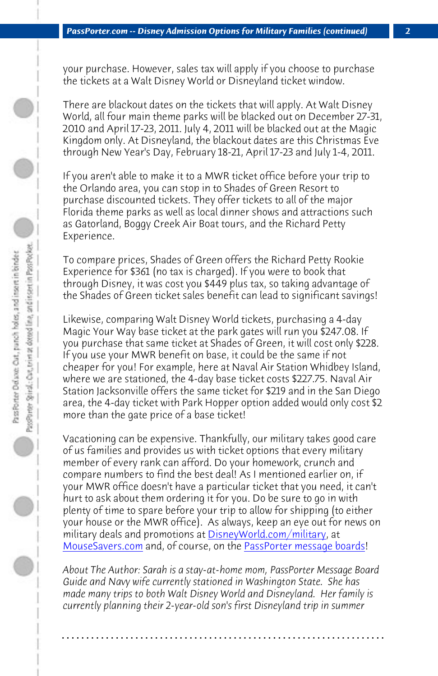*PassPorter.com -- Disney Admission Options for Military Families (continued) 2*

your purchase. However, sales tax will apply if you choose to purchase the tickets at a Walt Disney World or Disneyland ticket window.

There are blackout dates on the tickets that will apply. At Walt Disney World, all four main theme parks will be blacked out on December 27-31, 2010 and April 17-23, 2011. July 4, 2011 will be blacked out at the Magic Kingdom only. At Disneyland, the blackout dates are this Christmas Eve through New Year's Day, February 18-21, April 17-23 and July 1-4, 2011.

If you aren't able to make it to a MWR ticket office before your trip to the Orlando area, you can stop in to Shades of Green Resort to purchase discounted tickets. They offer tickets to all of the major Florida theme parks as well as local dinner shows and attractions such as Gatorland, Boggy Creek Air Boat tours, and the Richard Petty Experience.

To compare prices, Shades of Green offers the Richard Petty Rookie Experience for \$361 (no tax is charged). If you were to book that through Disney, it was cost you \$449 plus tax, so taking advantage of the Shades of Green ticket sales benefit can lead to significant savings!

Likewise, comparing Walt Disney World tickets, purchasing a 4-day Magic Your Way base ticket at t[he park gates will run you \\$2](http://www.DisneyWorld.com/military)47.08. If [you purchase that](http://www.mousesavers.com) same ticket at Shades [of Green, it will cost only \\$2](http://www.passporterboards.com)28. If you use your MWR benefit on base, it could be the same if not cheaper for you! For example, here at Naval Air Station Whidbey Island, where we are stationed, the 4-day base ticket costs \$227.75. Naval Air Station Jacksonville offers the same ticket for \$219 and in the San Diego area, the 4-day ticket with Park Hopper option added would only cost \$2 more than the gate price of a base ticket!

Vacationing can be expensive. Thankfully, our military takes good care of us families and provides us with ticket options that every military member of every rank can afford. Do your homework, crunch and compare numbers to find the best deal! As I mentioned earlier on, if your MWR office doesn't have a particular ticket that you need, it can't hurt to ask about them ordering it for you. Do be sure to go in with plenty of time to spare before your trip to allow for shipping (to either your house or the MWR office). As always, keep an eye out for news on military deals and promotions at DisneyWorld.com/military, at MouseSavers.com and, of course, on the PassPorter message boards!

*About The Author: Sarah is a stay-at-home mom, PassPorter Message Board Guide and Navy wife currently stationed in Washington State. She has made many trips to both Walt Disney World and Disneyland. Her family is currently planning their 2-year-old son's first Disneyland trip in summer*

**. . . . . . . . . . . . . . . . . . . . . . . . . . . . . . . . . . . . . . . . . . . . . . . . . . . . . . . . . . . . . . . . . .**